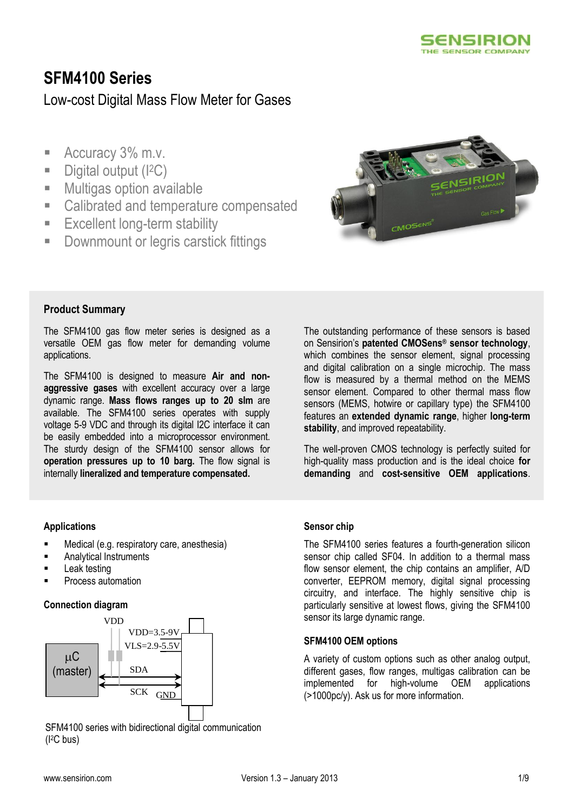

# **SFM4100 Series**

# Low-cost Digital Mass Flow Meter for Gases

- Accuracy 3% m.v.
- Digital output (I<sup>2</sup>C)
- **Multigas option available**
- Calibrated and temperature compensated
- **Excellent long-term stability**
- **-** Downmount or legris carstick fittings



### **Product Summary**

The SFM4100 gas flow meter series is designed as a versatile OEM gas flow meter for demanding volume applications.

The SFM4100 is designed to measure **Air and nonaggressive gases** with excellent accuracy over a large dynamic range. **Mass flows ranges up to 20 slm** are available. The SFM4100 series operates with supply voltage 5-9 VDC and through its digital I2C interface it can be easily embedded into a microprocessor environment. The sturdy design of the SFM4100 sensor allows for **operation pressures up to 10 barg.** The flow signal is internally **lineralized and temperature compensated.**

The outstanding performance of these sensors is based on Sensirion's **patented CMOSens® sensor technology**, which combines the sensor element, signal processing and digital calibration on a single microchip. The mass flow is measured by a thermal method on the MEMS sensor element. Compared to other thermal mass flow sensors (MEMS, hotwire or capillary type) the SFM4100 features an **extended dynamic range**, higher **long-term stability**, and improved repeatability.

The well-proven CMOS technology is perfectly suited for high-quality mass production and is the ideal choice **for demanding** and **cost-sensitive OEM applications**.

#### **Applications**

- Medical (e.g. respiratory care, anesthesia)
- Analytical Instruments
- Leak testing
- Process automation

#### **Connection diagram**



SFM4100 series with bidirectional digital communication (I2C bus)

#### **Sensor chip**

The SFM4100 series features a fourth-generation silicon sensor chip called SF04. In addition to a thermal mass flow sensor element, the chip contains an amplifier, A/D converter, EEPROM memory, digital signal processing circuitry, and interface. The highly sensitive chip is particularly sensitive at lowest flows, giving the SFM4100 sensor its large dynamic range.

#### **SFM4100 OEM options**

A variety of custom options such as other analog output, different gases, flow ranges, multigas calibration can be implemented for high-volume OEM applications (>1000pc/y). Ask us for more information.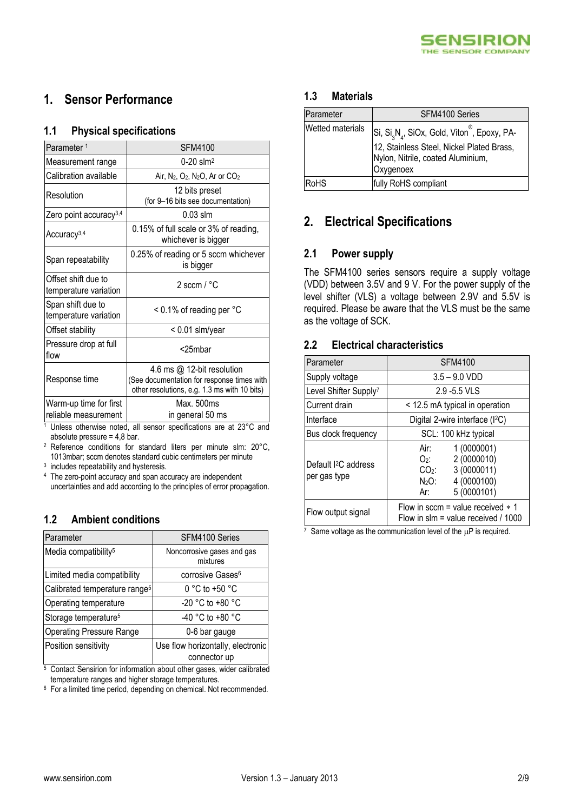

## **1. Sensor Performance**

#### **1.1 Physical specifications**

| Parameter <sup>1</sup>                         | <b>SFM4100</b>                                                                                                           |  |  |
|------------------------------------------------|--------------------------------------------------------------------------------------------------------------------------|--|--|
| Measurement range                              | $0 - 20$ slm <sup>2</sup>                                                                                                |  |  |
| Calibration available                          | Air, N <sub>2</sub> , O <sub>2</sub> , N <sub>2</sub> O, Ar or CO <sub>2</sub>                                           |  |  |
| Resolution                                     | 12 bits preset<br>(for 9-16 bits see documentation)                                                                      |  |  |
| Zero point accuracy <sup>3,4</sup>             | $0.03$ slm                                                                                                               |  |  |
| Accuracy <sup>3,4</sup>                        | 0.15% of full scale or 3% of reading,<br>whichever is bigger                                                             |  |  |
| Span repeatability                             | 0.25% of reading or 5 sccm whichever<br>is bigger                                                                        |  |  |
| Offset shift due to<br>temperature variation   | 2 sccm $/$ °C                                                                                                            |  |  |
| Span shift due to<br>temperature variation     | < 0.1% of reading per °C                                                                                                 |  |  |
| Offset stability                               | < 0.01 slm/year                                                                                                          |  |  |
| Pressure drop at full<br>flow                  | <25mbar                                                                                                                  |  |  |
| Response time                                  | 4.6 ms @ 12-bit resolution<br>(See documentation for response times with<br>other resolutions, e.g. 1.3 ms with 10 bits) |  |  |
| Warm-up time for first<br>reliable measurement | Max. 500ms<br>in general 50 ms                                                                                           |  |  |

<sup>1</sup> Unless otherwise noted, all sensor specifications are at 23°C and absolute pressure  $= 4.8$  bar.

<sup>2</sup> Reference conditions for standard liters per minute slm: 20°C, 1013mbar; sccm denotes standard cubic centimeters per minute

<sup>3</sup> includes repeatability and hysteresis.

<sup>4</sup> The zero-point accuracy and span accuracy are independent uncertainties and add according to the principles of error propagation.

### **1.2 Ambient conditions**

| Parameter                                 | SFM4100 Series                                    |
|-------------------------------------------|---------------------------------------------------|
| Media compatibility <sup>5</sup>          | Noncorrosive gases and gas<br>mixtures            |
| Limited media compatibility               | corrosive Gases <sup>6</sup>                      |
| Calibrated temperature range <sup>5</sup> | $0 °C$ to +50 $°C$                                |
| Operating temperature                     | $-20$ °C to $+80$ °C                              |
| Storage temperature <sup>5</sup>          | -40 °C to +80 °C                                  |
| <b>Operating Pressure Range</b>           | 0-6 bar gauge                                     |
| Position sensitivity                      | Use flow horizontally, electronic<br>connector up |

<sup>5</sup> Contact Sensirion for information about other gases, wider calibrated temperature ranges and higher storage temperatures.

<sup>6</sup> For a limited time period, depending on chemical. Not recommended.

#### **1.3 Materials**

| Parameter        | SFM4100 Series                                                                                                                                                                  |  |  |
|------------------|---------------------------------------------------------------------------------------------------------------------------------------------------------------------------------|--|--|
| Wetted materials | Si, Si <sub>3</sub> N <sub>4</sub> , SiOx, Gold, Viton <sup>®</sup> , Epoxy, PA-<br>12, Stainless Steel, Nickel Plated Brass,<br>Nylon, Nitrile, coated Aluminium,<br>Oxygenoex |  |  |
| <b>RoHS</b>      | fully RoHS compliant                                                                                                                                                            |  |  |

## **2. Electrical Specifications**

### **2.1 Power supply**

The SFM4100 series sensors require a supply voltage (VDD) between 3.5V and 9 V. For the power supply of the level shifter (VLS) a voltage between 2.9V and 5.5V is required. Please be aware that the VLS must be the same as the voltage of SCK.

#### <span id="page-1-0"></span>**2.2 Electrical characteristics**

| Parameter                                      | <b>SFM4100</b>                                                                                                  |  |  |
|------------------------------------------------|-----------------------------------------------------------------------------------------------------------------|--|--|
| Supply voltage                                 | $3.5 - 9.0$ VDD                                                                                                 |  |  |
| Level Shifter Supply <sup>7</sup>              | 2.9 - 5.5 VLS                                                                                                   |  |  |
| Current drain                                  | < 12.5 mA typical in operation                                                                                  |  |  |
| Interface                                      | Digital 2-wire interface (I <sup>2</sup> C)                                                                     |  |  |
| Bus clock frequency                            | SCL: 100 kHz typical                                                                                            |  |  |
| Default <sup>2</sup> C address<br>per gas type | 1(0000001)<br>Air:<br>2 (0000010)<br>O2:<br>3 (0000011)<br>$CO2$ :<br>4 (0000100)<br>N2O:<br>5 (0000101)<br>Ar: |  |  |
| Flow output signal                             | Flow in sccm = value received $*$ 1<br>Flow in slm = value received / 1000                                      |  |  |

 $\frac{7}{7}$  Same voltage as the communication level of the  $\mu$ P is required.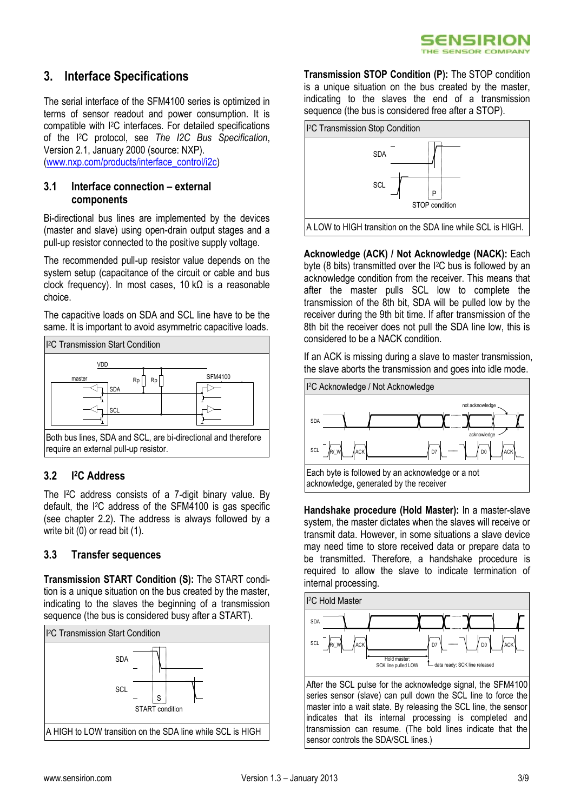## **3. Interface Specifications**

The serial interface of the SFM4100 series is optimized in terms of sensor readout and power consumption. It is compatible with I2C interfaces. For detailed specifications of the I2C protocol, see *The I2C Bus Specification*, Version 2.1, January 2000 (source: NXP).

[\(www.nxp.com/products/interface\\_control/i2c\)](http://www.nxp.com/products/interface_control/i2c)

#### **3.1 Interface connection – external components**

Bi-directional bus lines are implemented by the devices (master and slave) using open-drain output stages and a pull-up resistor connected to the positive supply voltage.

The recommended pull-up resistor value depends on the system setup (capacitance of the circuit or cable and bus clock frequency). In most cases,  $10$  kΩ is a reasonable choice.

The capacitive loads on SDA and SCL line have to be the same. It is important to avoid asymmetric capacitive loads.



#### **3.2 I <sup>2</sup>C Address**

The I2C address consists of a 7-digit binary value. By default, the I2C address of the SFM4100 is gas specific (see chapter 2.2). The address is always followed by a write bit (0) or read bit (1).

#### <span id="page-2-0"></span>**3.3 Transfer sequences**

**Transmission START Condition (S):** The START condition is a unique situation on the bus created by the master, indicating to the slaves the beginning of a transmission sequence (the bus is considered busy after a START).



**Transmission STOP Condition (P):** The STOP condition is a unique situation on the bus created by the master, indicating to the slaves the end of a transmission sequence (the bus is considered free after a STOP).



**Acknowledge (ACK) / Not Acknowledge (NACK):** Each byte (8 bits) transmitted over the I2C bus is followed by an acknowledge condition from the receiver. This means that after the master pulls SCL low to complete the transmission of the 8th bit, SDA will be pulled low by the receiver during the 9th bit time. If after transmission of the 8th bit the receiver does not pull the SDA line low, this is considered to be a NACK condition.

If an ACK is missing during a slave to master transmission, the slave aborts the transmission and goes into idle mode.



**Handshake procedure (Hold Master):** In a master-slave system, the master dictates when the slaves will receive or transmit data. However, in some situations a slave device may need time to store received data or prepare data to be transmitted. Therefore, a handshake procedure is required to allow the slave to indicate termination of internal processing.



After the SCL pulse for the acknowledge signal, the SFM4100 series sensor (slave) can pull down the SCL line to force the master into a wait state. By releasing the SCL line, the sensor indicates that its internal processing is completed and transmission can resume. (The bold lines indicate that the sensor controls the SDA/SCL lines.)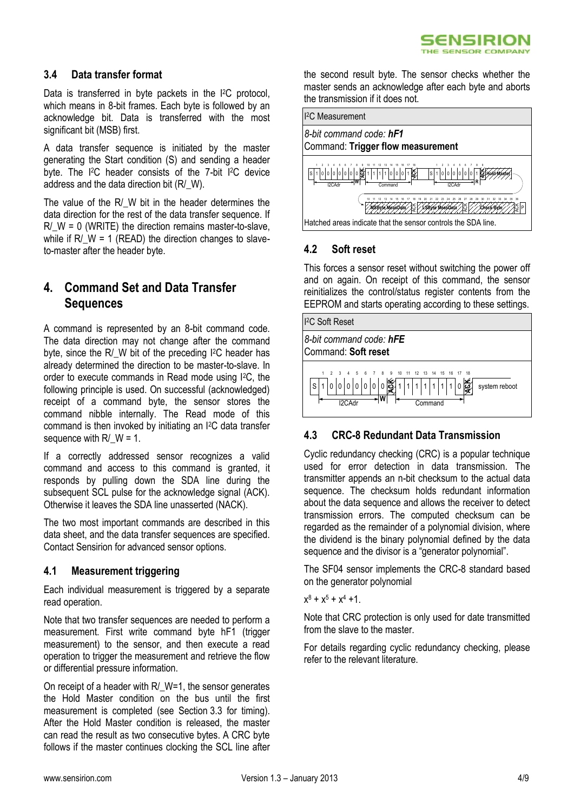### **3.4 Data transfer format**

Data is transferred in byte packets in the I<sup>2</sup>C protocol, which means in 8-bit frames. Each byte is followed by an acknowledge bit. Data is transferred with the most significant bit (MSB) first.

A data transfer sequence is initiated by the master generating the Start condition (S) and sending a header byte. The I2C header consists of the 7-bit I2C device address and the data direction bit (R/\_W).

The value of the R/ W bit in the header determines the data direction for the rest of the data transfer sequence. If  $R/M = 0$  (WRITE) the direction remains master-to-slave, while if  $R/W = 1$  (READ) the direction changes to slaveto-master after the header byte.

## **4. Command Set and Data Transfer Sequences**

A command is represented by an 8-bit command code. The data direction may not change after the command byte, since the R/ W bit of the preceding I<sup>2</sup>C header has already determined the direction to be master-to-slave. In order to execute commands in Read mode using I2C, the following principle is used. On successful (acknowledged) receipt of a command byte, the sensor stores the command nibble internally. The Read mode of this command is then invoked by initiating an I2C data transfer sequence with  $R/M = 1$ .

If a correctly addressed sensor recognizes a valid command and access to this command is granted, it responds by pulling down the SDA line during the subsequent SCL pulse for the acknowledge signal (ACK). Otherwise it leaves the SDA line unasserted (NACK).

The two most important commands are described in this data sheet, and the data transfer sequences are specified. Contact Sensirion for advanced sensor options.

#### **4.1 Measurement triggering**

Each individual measurement is triggered by a separate read operation.

Note that two transfer sequences are needed to perform a measurement. First write command byte hF1 (trigger measurement) to the sensor, and then execute a read operation to trigger the measurement and retrieve the flow or differential pressure information.

On receipt of a header with R/ W=1, the sensor generates the Hold Master condition on the bus until the first measurement is completed (see Section [3.3](#page-2-0) for timing). After the Hold Master condition is released, the master can read the result as two consecutive bytes. A CRC byte follows if the master continues clocking the SCL line after

the second result byte. The sensor checks whether the master sends an acknowledge after each byte and aborts the transmission if it does not.



### **4.2 Soft reset**

This forces a sensor reset without switching the power off and on again. On receipt of this command, the sensor reinitializes the control/status register contents from the EEPROM and starts operating according to these settings.



### **4.3 CRC-8 Redundant Data Transmission**

Cyclic redundancy checking (CRC) is a popular technique used for error detection in data transmission. The transmitter appends an n-bit checksum to the actual data sequence. The checksum holds redundant information about the data sequence and allows the receiver to detect transmission errors. The computed checksum can be regarded as the remainder of a polynomial division, where the dividend is the binary polynomial defined by the data sequence and the divisor is a "generator polynomial".

The SF04 sensor implements the CRC-8 standard based on the generator polynomial

 $x^8 + x^5 + x^4 + 1$ .

Note that CRC protection is only used for date transmitted from the slave to the master.

For details regarding cyclic redundancy checking, please refer to the relevant literature.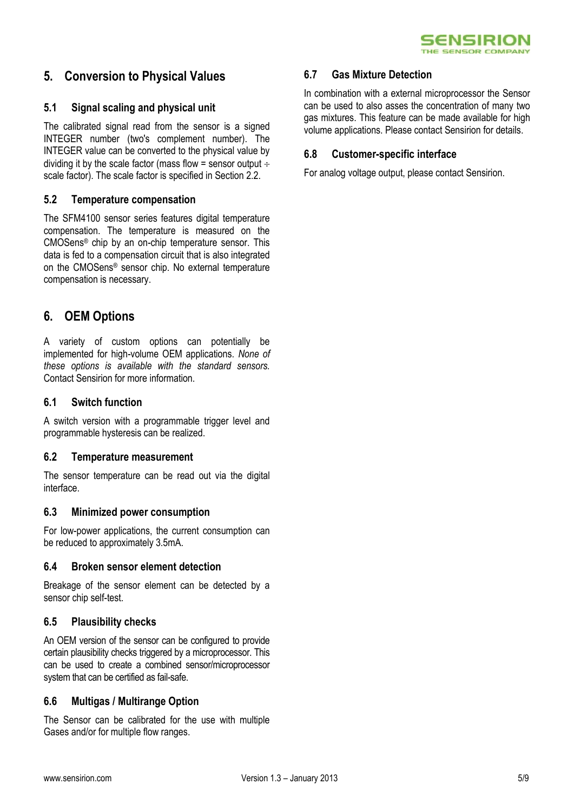

## **5. Conversion to Physical Values**

#### **5.1 Signal scaling and physical unit**

The calibrated signal read from the sensor is a signed INTEGER number (two's complement number). The INTEGER value can be converted to the physical value by dividing it by the scale factor (mass flow = sensor output  $\div$ scale factor). The scale factor is specified in Section [2.2.](#page-1-0)

#### **5.2 Temperature compensation**

The SFM4100 sensor series features digital temperature compensation. The temperature is measured on the CMOSens® chip by an on-chip temperature sensor. This data is fed to a compensation circuit that is also integrated on the CMOSens® sensor chip. No external temperature compensation is necessary.

### **6. OEM Options**

A variety of custom options can potentially be implemented for high-volume OEM applications. *None of these options is available with the standard sensors.* Contact Sensirion for more information.

#### **6.1 Switch function**

A switch version with a programmable trigger level and programmable hysteresis can be realized.

#### **6.2 Temperature measurement**

The sensor temperature can be read out via the digital interface.

#### **6.3 Minimized power consumption**

For low-power applications, the current consumption can be reduced to approximately 3.5mA.

#### **6.4 Broken sensor element detection**

Breakage of the sensor element can be detected by a sensor chip self-test.

#### **6.5 Plausibility checks**

An OEM version of the sensor can be configured to provide certain plausibility checks triggered by a microprocessor. This can be used to create a combined sensor/microprocessor system that can be certified as fail-safe.

#### **6.6 Multigas / Multirange Option**

The Sensor can be calibrated for the use with multiple Gases and/or for multiple flow ranges.

#### **6.7 Gas Mixture Detection**

In combination with a external microprocessor the Sensor can be used to also asses the concentration of many two gas mixtures. This feature can be made available for high volume applications. Please contact Sensirion for details.

#### **6.8 Customer-specific interface**

For analog voltage output, please contact Sensirion.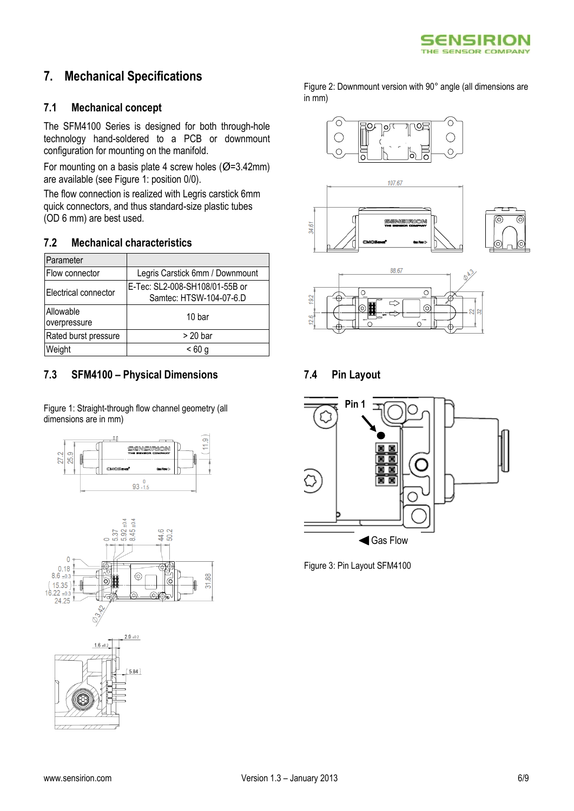

## **7. Mechanical Specifications**

#### **7.1 Mechanical concept**

The SFM4100 Series is designed for both through-hole technology hand-soldered to a PCB or downmount configuration for mounting on the manifold.

For mounting on a basis plate 4 screw holes ( $\varnothing$ =3.42mm) are available (see Figure 1: position 0/0).

The flow connection is realized with Legris carstick 6mm quick connectors, and thus standard-size plastic tubes (OD 6 mm) are best used.

#### **7.2 Mechanical characteristics**

| Parameter                 |                                                           |  |  |
|---------------------------|-----------------------------------------------------------|--|--|
| Flow connector            | Legris Carstick 6mm / Downmount                           |  |  |
| Electrical connector      | E-Tec: SL2-008-SH108/01-55B or<br>Samtec: HTSW-104-07-6.D |  |  |
| Allowable<br>overpressure | 10 bar                                                    |  |  |
| Rated burst pressure      | $> 20$ bar                                                |  |  |
| Weight                    | <60 g                                                     |  |  |

#### **7.3 SFM4100 – Physical Dimensions**

Figure 1: Straight-through flow channel geometry (all dimensions are in mm)







Figure 2: Downmount version with 90° angle (all dimensions are  $in \overline{mm}$ )







SENSIRION

**7.4 Pin Layout**

14.61



Figure 3: Pin Layout SFM4100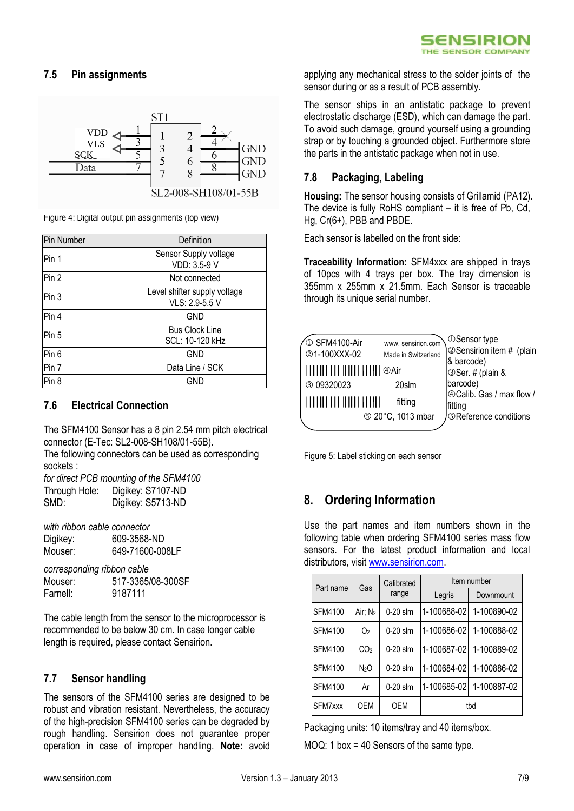### **7.5 Pin assignments**



Figure 4: Digital output pin assignments (top view)

| Pin Number       | Definition                                     |  |
|------------------|------------------------------------------------|--|
| Pin 1            | Sensor Supply voltage<br>VDD: 3.5-9 V          |  |
| Pin 2            | Not connected                                  |  |
| Pin 3            | Level shifter supply voltage<br>VLS: 2.9-5.5 V |  |
| Pin 4            | <b>GND</b>                                     |  |
| Pin 5            | <b>Bus Clock Line</b><br>SCL: 10-120 kHz       |  |
| Pin <sub>6</sub> | <b>GND</b>                                     |  |
| Pin 7            | Data Line / SCK                                |  |
| Pin 8            | GND                                            |  |

### **7.6 Electrical Connection**

The SFM4100 Sensor has a 8 pin 2.54 mm pitch electrical connector (E-Tec: SL2-008-SH108/01-55B).

The following connectors can be used as corresponding sockets :

*for direct PCB mounting of the SFM4100* Through Hole: Digikey: S7107-ND SMD: Digikey: S5713-ND

*with ribbon cable connector* Digikey: 609-3568-ND Mouser: 649-71600-008LF

*corresponding ribbon cable* Mouser: 517-3365/08-300SF Farnell: 9187111

The cable length from the sensor to the microprocessor is recommended to be below 30 cm. In case longer cable length is required, please contact Sensirion.

#### **7.7 Sensor handling**

The sensors of the SFM4100 series are designed to be robust and vibration resistant. Nevertheless, the accuracy of the high-precision SFM4100 series can be degraded by rough handling. Sensirion does not guarantee proper operation in case of improper handling. **Note:** avoid

applying any mechanical stress to the solder joints of the sensor during or as a result of PCB assembly.

The sensor ships in an antistatic package to prevent electrostatic discharge (ESD), which can damage the part. To avoid such damage, ground yourself using a grounding strap or by touching a grounded object. Furthermore store the parts in the antistatic package when not in use.

#### **7.8 Packaging, Labeling**

**Housing:** The sensor housing consists of Grillamid (PA12). The device is fully RoHS compliant – it is free of Pb, Cd, Hg, Cr(6+), PBB and PBDE.

Each sensor is labelled on the front side:

**Traceability Information:** SFM4xxx are shipped in trays of 10pcs with 4 trays per box. The tray dimension is 355mm x 255mm x 21.5mm. Each Sensor is traceable through its unique serial number.



Figure 5: Label sticking on each sensor

## **8. Ordering Information**

Use the part names and item numbers shown in the following table when ordering SFM4100 series mass flow sensors. For the latest product information and local distributors, visi[t www.sensirion.com.](http://www.sensirion.com/)

| Part name      | Gas                 | Calibrated<br>range | Item number |             |
|----------------|---------------------|---------------------|-------------|-------------|
|                |                     |                     | Legris      | Downmount   |
| <b>SFM4100</b> | Air; N <sub>2</sub> | $0-20$ slm          | 1-100688-02 | 1-100890-02 |
| <b>SFM4100</b> | O <sub>2</sub>      | $0-20$ slm          | 1-100686-02 | 1-100888-02 |
| <b>SFM4100</b> | CO <sub>2</sub>     | $0-20$ slm          | 1-100687-02 | 1-100889-02 |
| <b>SFM4100</b> | N <sub>2</sub> O    | $0-20$ slm          | 1-100684-02 | 1-100886-02 |
| <b>SFM4100</b> | Ar                  | $0-20$ slm          | 1-100685-02 | 1-100887-02 |
| SFM7xxx        | OEM                 | <b>OEM</b>          | tbd         |             |

Packaging units: 10 items/tray and 40 items/box.

MOQ: 1 box = 40 Sensors of the same type.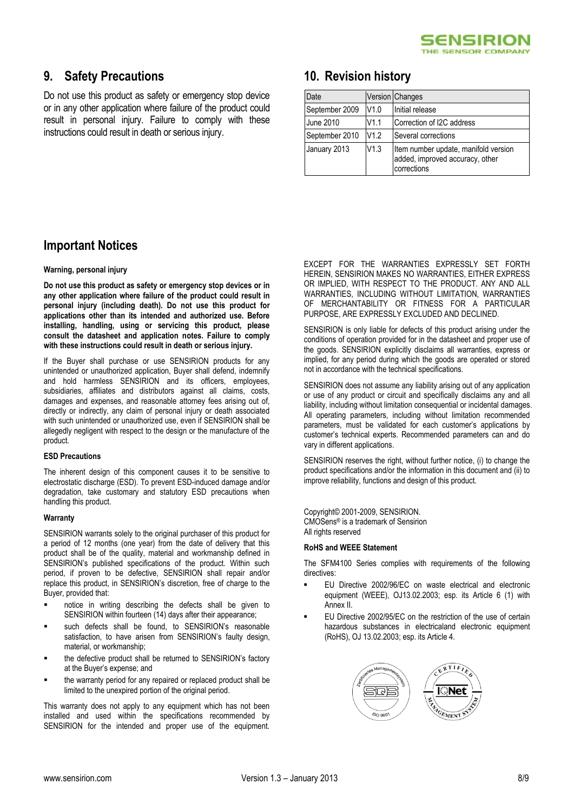

### **9. Safety Precautions**

Do not use this product as safety or emergency stop device or in any other application where failure of the product could result in personal injury. Failure to comply with these instructions could result in death or serious injury.

### **10. Revision history**

| Date           |      | Version Changes                                                                        |
|----------------|------|----------------------------------------------------------------------------------------|
| September 2009 | V1.0 | Initial release                                                                        |
| June 2010      | V1.1 | Correction of I2C address                                                              |
| September 2010 | V1.2 | Several corrections                                                                    |
| January 2013   | V1.3 | Item number update, manifold version<br>added, improved accuracy, other<br>corrections |

### **Important Notices**

#### **Warning, personal injury**

**Do not use this product as safety or emergency stop devices or in any other application where failure of the product could result in personal injury (including death). Do not use this product for applications other than its intended and authorized use. Before installing, handling, using or servicing this product, please consult the datasheet and application notes. Failure to comply with these instructions could result in death or serious injury.**

If the Buyer shall purchase or use SENSIRION products for any unintended or unauthorized application, Buyer shall defend, indemnify and hold harmless SENSIRION and its officers, employees, subsidiaries, affiliates and distributors against all claims, costs, damages and expenses, and reasonable attorney fees arising out of, directly or indirectly, any claim of personal injury or death associated with such unintended or unauthorized use, even if SENSIRION shall be allegedly negligent with respect to the design or the manufacture of the product.

#### **ESD Precautions**

The inherent design of this component causes it to be sensitive to electrostatic discharge (ESD). To prevent ESD-induced damage and/or degradation, take customary and statutory ESD precautions when handling this product.

#### **Warranty**

SENSIRION warrants solely to the original purchaser of this product for a period of 12 months (one year) from the date of delivery that this product shall be of the quality, material and workmanship defined in SENSIRION's published specifications of the product. Within such period, if proven to be defective, SENSIRION shall repair and/or replace this product, in SENSIRION's discretion, free of charge to the Buyer, provided that:

- notice in writing describing the defects shall be given to SENSIRION within fourteen (14) days after their appearance;
- such defects shall be found, to SENSIRION's reasonable satisfaction, to have arisen from SENSIRION's faulty design, material, or workmanship;
- the defective product shall be returned to SENSIRION's factory at the Buyer's expense; and
- the warranty period for any repaired or replaced product shall be limited to the unexpired portion of the original period.

This warranty does not apply to any equipment which has not been installed and used within the specifications recommended by SENSIRION for the intended and proper use of the equipment.

EXCEPT FOR THE WARRANTIES EXPRESSLY SET FORTH HEREIN, SENSIRION MAKES NO WARRANTIES, EITHER EXPRESS OR IMPLIED, WITH RESPECT TO THE PRODUCT. ANY AND ALL WARRANTIES, INCLUDING WITHOUT LIMITATION, WARRANTIES OF MERCHANTABILITY OR FITNESS FOR A PARTICULAR PURPOSE, ARE EXPRESSLY EXCLUDED AND DECLINED.

SENSIRION is only liable for defects of this product arising under the conditions of operation provided for in the datasheet and proper use of the goods. SENSIRION explicitly disclaims all warranties, express or implied, for any period during which the goods are operated or stored not in accordance with the technical specifications.

SENSIRION does not assume any liability arising out of any application or use of any product or circuit and specifically disclaims any and all liability, including without limitation consequential or incidental damages. All operating parameters, including without limitation recommended parameters, must be validated for each customer's applications by customer's technical experts. Recommended parameters can and do vary in different applications.

SENSIRION reserves the right, without further notice, (i) to change the product specifications and/or the information in this document and (ii) to improve reliability, functions and design of this product.

Copyright© 2001-2009, SENSIRION. CMOSens® is a trademark of Sensirion All rights reserved

#### **RoHS and WEEE Statement**

The SFM4100 Series complies with requirements of the following directives:

- EU Directive 2002/96/EC on waste electrical and electronic equipment (WEEE), OJ13.02.2003; esp. its Article 6 (1) with Annex II.
- EU Directive 2002/95/EC on the restriction of the use of certain hazardous substances in electricaland electronic equipment (RoHS), OJ 13.02.2003; esp. its Article 4.